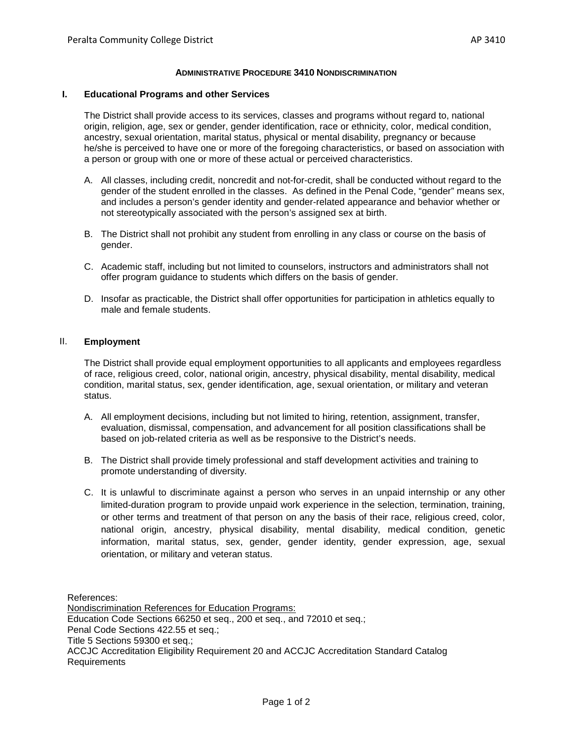## **ADMINISTRATIVE PROCEDURE 3410 NONDISCRIMINATION**

## **I. Educational Programs and other Services**

The District shall provide access to its services, classes and programs without regard to, national origin, religion, age, sex or gender, gender identification, race or ethnicity, color, medical condition, ancestry, sexual orientation, marital status, physical or mental disability, pregnancy or because he/she is perceived to have one or more of the foregoing characteristics, or based on association with a person or group with one or more of these actual or perceived characteristics.

- A. All classes, including credit, noncredit and not-for-credit, shall be conducted without regard to the gender of the student enrolled in the classes. As defined in the Penal Code, "gender" means sex, and includes a person's gender identity and gender-related appearance and behavior whether or not stereotypically associated with the person's assigned sex at birth.
- B. The District shall not prohibit any student from enrolling in any class or course on the basis of gender.
- C. Academic staff, including but not limited to counselors, instructors and administrators shall not offer program guidance to students which differs on the basis of gender.
- D. Insofar as practicable, the District shall offer opportunities for participation in athletics equally to male and female students.

## II. **Employment**

The District shall provide equal employment opportunities to all applicants and employees regardless of race, religious creed, color, national origin, ancestry, physical disability, mental disability, medical condition, marital status, sex, gender identification, age, sexual orientation, or military and veteran status.

- A. All employment decisions, including but not limited to hiring, retention, assignment, transfer, evaluation, dismissal, compensation, and advancement for all position classifications shall be based on job-related criteria as well as be responsive to the District's needs.
- B. The District shall provide timely professional and staff development activities and training to promote understanding of diversity.
- C. It is unlawful to discriminate against a person who serves in an unpaid internship or any other limited-duration program to provide unpaid work experience in the selection, termination, training, or other terms and treatment of that person on any the basis of their race, religious creed, color, national origin, ancestry, physical disability, mental disability, medical condition, genetic information, marital status, sex, gender, gender identity, gender expression, age, sexual orientation, or military and veteran status.

References: Nondiscrimination References for Education Programs: Education Code Sections 66250 et seq., 200 et seq., and 72010 et seq.; Penal Code Sections 422.55 et seq.; Title 5 Sections 59300 et seq.; ACCJC Accreditation Eligibility Requirement 20 and ACCJC Accreditation Standard Catalog Requirements